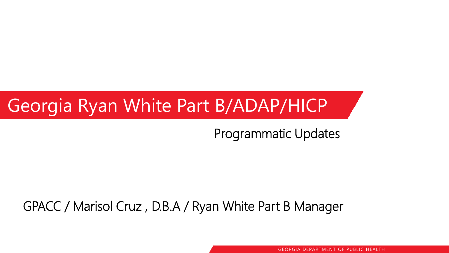### Georgia Ryan White Part B/ADAP/HICP

# Programmatic Updates

#### GPACC / Marisol Cruz , D.B.A / Ryan White Part B Manager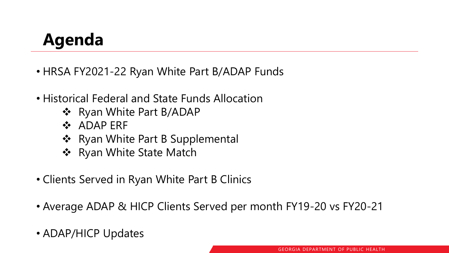## **Agenda**

- HRSA FY2021-22 Ryan White Part B/ADAP Funds
- Historical Federal and State Funds Allocation
	- ❖ Ryan White Part B/ADAP
	- ❖ ADAP ERF
	- ❖ Ryan White Part B Supplemental
	- ❖ Ryan White State Match
- Clients Served in Ryan White Part B Clinics
- Average ADAP & HICP Clients Served per month FY19-20 vs FY20-21
- ADAP/HICP Updates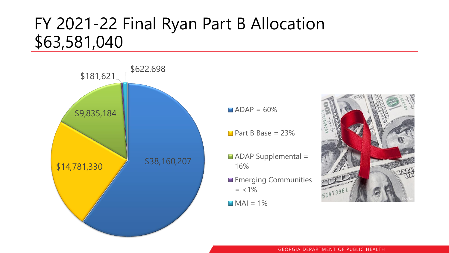#### FY 2021-22 Final Ryan Part B Allocation \$63,581,040



 $\blacksquare$  ADAP = 60%

Part B Base =  $23%$ 

 $\blacksquare$  ADAP Supplemental = 16%

- **Emerging Communities**  $= <1\%$
- $MAI = 1%$

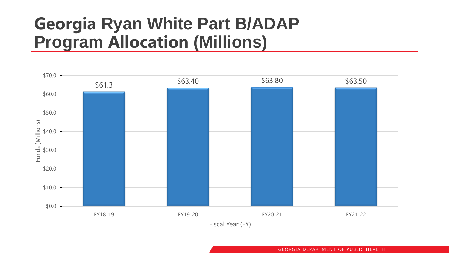#### **Georgia Ryan White Part B/ADAP Program Allocation (Millions)**

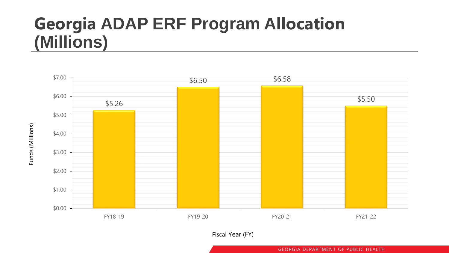#### **Georgia ADAP ERF Program Allocation (Millions)**



Fiscal Year (FY)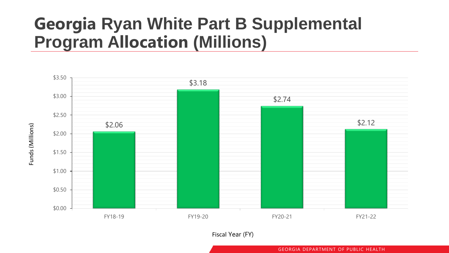#### **Georgia Ryan White Part B Supplemental Program Allocation (Millions)**



Fiscal Year (FY)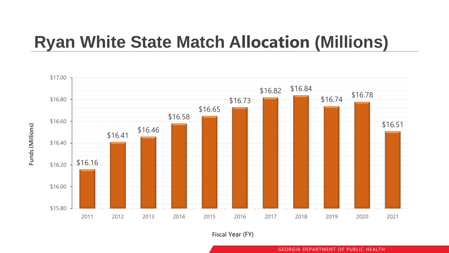#### **Ryan White State Match Allocation (Millions)**



Fiscal Year (FY)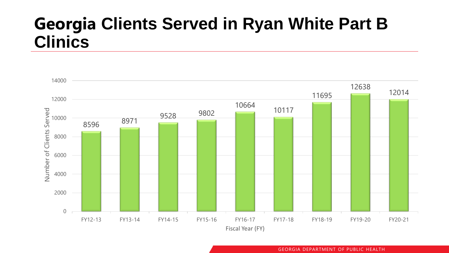#### **Georgia Clients Served in Ryan White Part B Clinics**

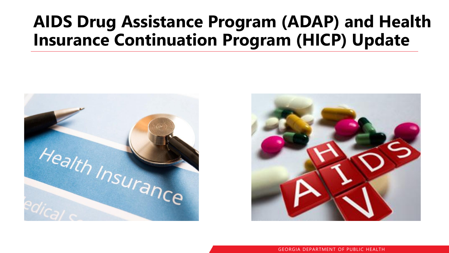### **AIDS Drug Assistance Program (ADAP) and Health Insurance Continuation Program (HICP) Update**



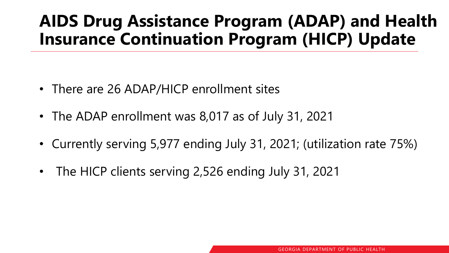### **AIDS Drug Assistance Program (ADAP) and Health Insurance Continuation Program (HICP) Update**

- There are 26 ADAP/HICP enrollment sites
- The ADAP enrollment was 8,017 as of July 31, 2021
- Currently serving 5,977 ending July 31, 2021; (utilization rate 75%)
- The HICP clients serving 2,526 ending July 31, 2021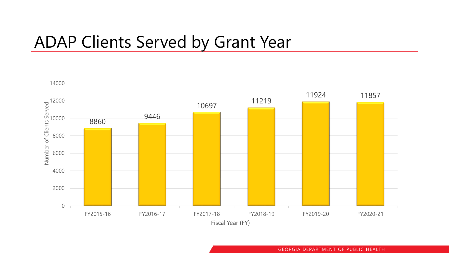#### ADAP Clients Served by Grant Year

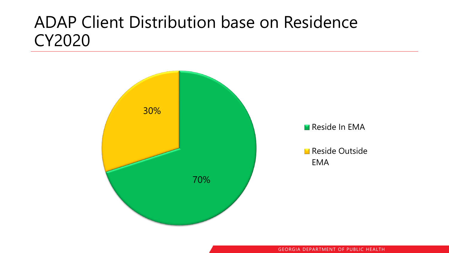#### ADAP Client Distribution base on Residence CY2020

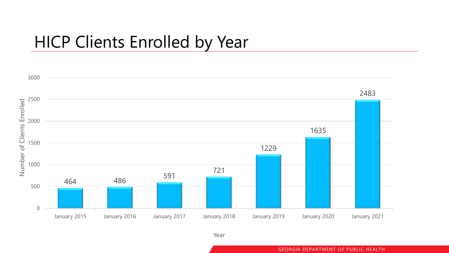#### HICP Clients Enrolled by Year

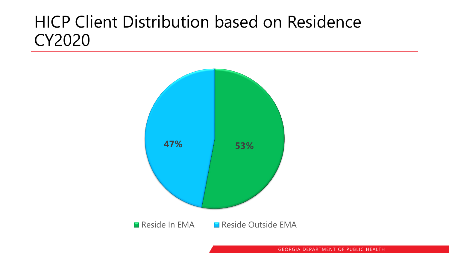#### HICP Client Distribution based on Residence CY2020

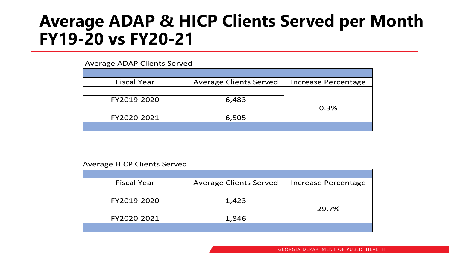#### **Average ADAP & HICP Clients Served per Month FY19-20 vs FY20-21**

#### Average ADAP Clients Served

| <b>Fiscal Year</b> | <b>Average Clients Served</b> | Increase Percentage |
|--------------------|-------------------------------|---------------------|
|                    |                               |                     |
| FY2019-2020        | 6,483                         |                     |
|                    |                               | 0.3%                |
| FY2020-2021        | 6,505                         |                     |
|                    |                               |                     |

#### Average HICP Clients Served

| <b>Fiscal Year</b> | <b>Average Clients Served</b> | <b>Increase Percentage</b> |
|--------------------|-------------------------------|----------------------------|
|                    |                               |                            |
| FY2019-2020        | 1,423                         |                            |
|                    |                               | 29.7%                      |
| FY2020-2021        | 1,846                         |                            |
|                    |                               |                            |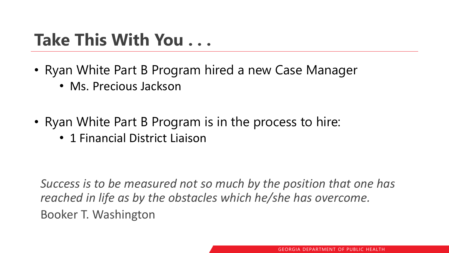#### **Take This With You . . .**

- Ryan White Part B Program hired a new Case Manager
	- Ms. Precious Jackson
- Ryan White Part B Program is in the process to hire:
	- 1 Financial District Liaison

*Success is to be measured not so much by the position that one has reached in life as by the obstacles which he/she has overcome.*  Booker T. Washington